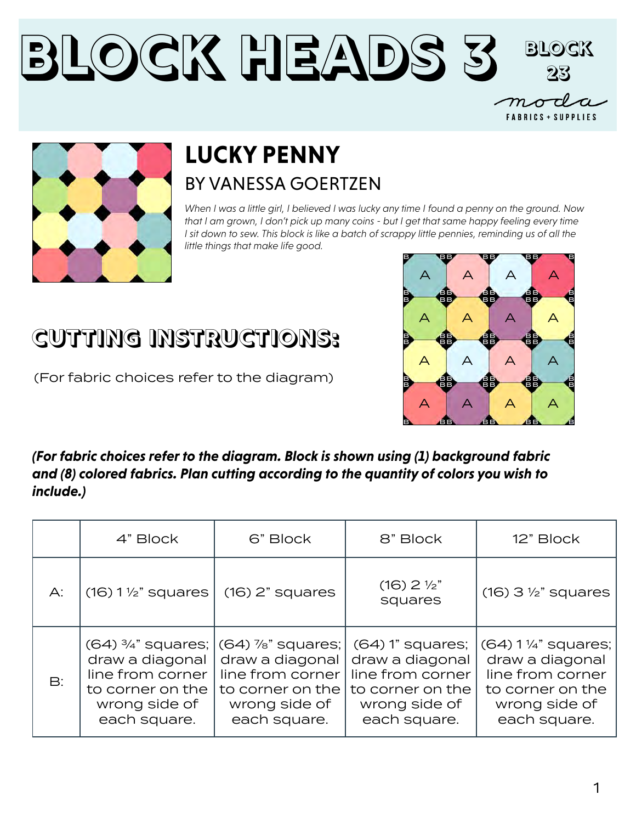### **Block Heads 3 Block 23** $m\!\!\mathbin{\scriptstyle{\circ}}$ **FABRICS + SUPPLIES**



## **LUCKY PENNY** BY VANESSA GOERTZEN

*When I was a little girl, I believed I was lucky any time I found a penny on the ground. Now that I am grown, I don't pick up many coins - but I get that same happy feeling every time I sit down to sew. This block is like a batch of scrappy little pennies, reminding us of all the little things that make life good.* 

#### $A$   $A$   $A$   $A$ B BB BB B B BB BB B B BB BB B B BB BB B B BB BB B B B B B B B BB BB B  $A$   $A$   $A$   $A$ A A A A A A A A

(For fabric choices refer to the diagram)

**CUTTING INSTRUCTIONS:**

*(For fabric choices refer to the diagram. Block is shown using (1) background fabric and (8) colored fabrics. Plan cutting according to the quantity of colors you wish to include.)*

|                | 4" Block                                                                                 | 6" Block                                                                                                                                        | 8" Block                                                                                                       | 12" Block                                                                                                        |
|----------------|------------------------------------------------------------------------------------------|-------------------------------------------------------------------------------------------------------------------------------------------------|----------------------------------------------------------------------------------------------------------------|------------------------------------------------------------------------------------------------------------------|
| $A$ :          | $(16)$ 1 $\frac{1}{2}$ " squares                                                         | $(16)$ 2" squares                                                                                                                               | $(16)$ 2 $\frac{1}{2}$<br>squares                                                                              | $(16)$ 3 $\frac{1}{2}$ " squares                                                                                 |
| $\mathsf{B}$ : | draw a diagonal<br>line from corner<br>to corner on the<br>wrong side of<br>each square. | $(64)$ $\frac{3}{4}$ " squares; $ (64)$ %" squares;<br>draw a diagonal<br>line from corner<br>to corner on the<br>wrong side of<br>each square. | $(64)$ 1" squares;<br>draw a diagonal<br>line from corner<br>to corner on the<br>wrong side of<br>each square. | $(64)$ 1 ¼" squares;<br>draw a diagonal<br>line from corner<br>to corner on the<br>wrong side of<br>each square. |